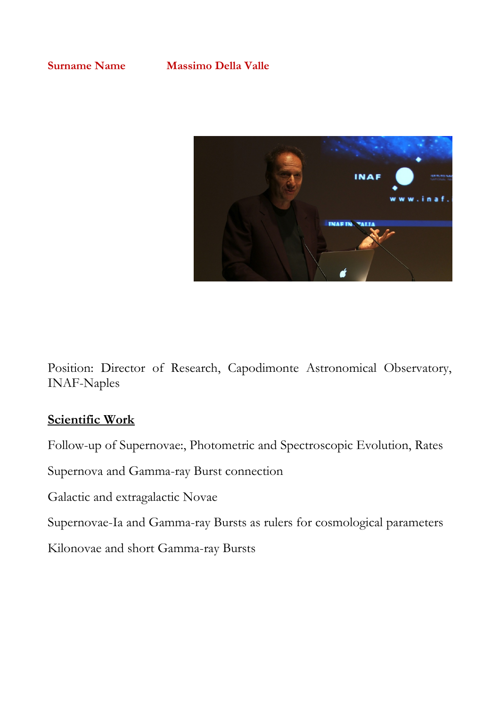

Position: Director of Research, Capodimonte Astronomical Observatory, INAF-Naples

## **Scientific Work**

Follow-up of Supernovae:, Photometric and Spectroscopic Evolution, Rates

Supernova and Gamma-ray Burst connection

Galactic and extragalactic Novae

Supernovae-Ia and Gamma-ray Bursts as rulers for cosmological parameters

Kilonovae and short Gamma-ray Bursts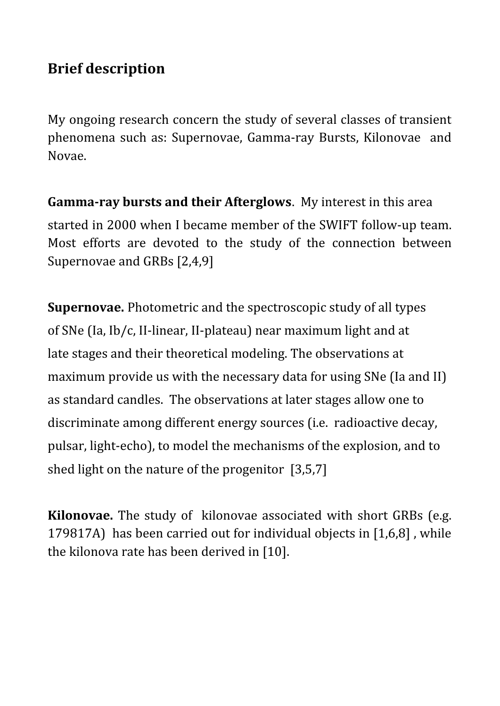## **Brief description**

My ongoing research concern the study of several classes of transient phenomena such as: Supernovae, Gamma-ray Bursts, Kilonovae and Novae.

**Gamma-ray bursts and their Afterglows**. My interest in this area started in 2000 when I became member of the SWIFT follow-up team. Most efforts are devoted to the study of the connection between Supernovae and GRBs [2,4,9]

**Supernovae.** Photometric and the spectroscopic study of all types of SNe (Ia, Ib/c, II-linear, II-plateau) near maximum light and at late stages and their theoretical modeling. The observations at maximum provide us with the necessary data for using SNe (Ia and II) as standard candles. The observations at later stages allow one to discriminate among different energy sources (i.e. radioactive decay, pulsar, light-echo), to model the mechanisms of the explosion, and to shed light on the nature of the progenitor [3,5,7]

**Kilonovae.** The study of kilonovae associated with short GRBs (e.g. 179817A) has been carried out for individual objects in [1,6,8] , while the kilonova rate has been derived in [10].